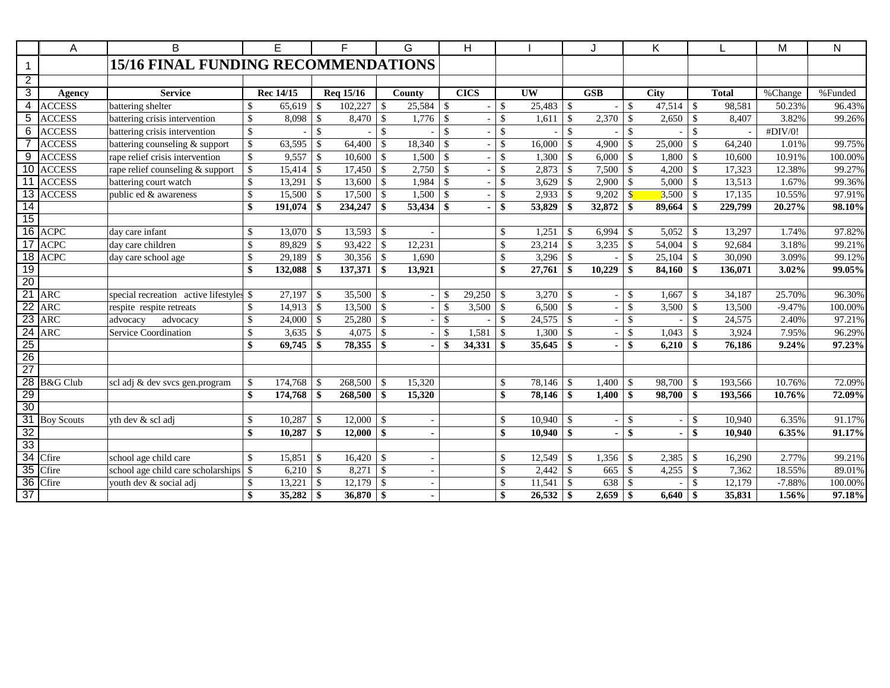|                 | A             | B                                          |                          | E         |                    | F         |                    | G                        |                    | H           |               |                        |                    |            |                    | Κ              |                    |              | M                  | ${\sf N}$ |
|-----------------|---------------|--------------------------------------------|--------------------------|-----------|--------------------|-----------|--------------------|--------------------------|--------------------|-------------|---------------|------------------------|--------------------|------------|--------------------|----------------|--------------------|--------------|--------------------|-----------|
|                 |               | <b>15/16 FINAL FUNDING RECOMMENDATIONS</b> |                          |           |                    |           |                    |                          |                    |             |               |                        |                    |            |                    |                |                    |              |                    |           |
| $\overline{2}$  |               |                                            |                          |           |                    |           |                    |                          |                    |             |               |                        |                    |            |                    |                |                    |              |                    |           |
| 3               | Agency        | <b>Service</b>                             |                          | Rec 14/15 |                    | Req 15/16 |                    | County                   |                    | <b>CICS</b> |               | $\overline{\text{UW}}$ |                    | <b>GSB</b> |                    | <b>City</b>    |                    | <b>Total</b> | $\sqrt{\%}$ Change | %Funded   |
|                 | 4 ACCESS      | battering shelter                          | \$                       | 65,619    | \$                 | 102,227   | \$                 | 25,584                   | $\mathbb{S}$       |             | \$            | 25,483                 | \$                 |            | \$                 | 47,514         | -\$                | 98,581       | 50.23%             | 96.43%    |
| 5               | <b>ACCESS</b> | battering crisis intervention              | \$                       | 8,098     | $\mathbf{\$}$      | 8,470     | <b>S</b>           | 1,776                    | $\mathbf{\hat{s}}$ |             | \$            | 1,611                  | -\$                | 2,370      | $\mathbf{\hat{S}}$ | 2,650          | -\$                | 8,407        | 3.82%              | 99.26%    |
| 6               | <b>ACCESS</b> | battering crisis intervention              | \$                       |           | $\mathbf{\hat{S}}$ |           | $\mathcal{S}$      |                          | \$                 |             | \$            | $\mathbf{r}$           | $\mathcal{S}$      |            | $\mathbb{S}$       |                | $\mathcal{S}$      |              | #DIV/0!            |           |
|                 | <b>ACCESS</b> | battering counseling & support             | $\overline{\mathcal{S}}$ | 63,595    | $\mathcal{S}$      | 64,400    | $\mathbf{\hat{s}}$ | $18,340$ \$              |                    |             | $\mathbb{S}$  | 16,000                 | $\mathbf{\hat{S}}$ | 4.900      | $\mathbb{S}$       | 25,000         | $\mathcal{S}$      | 64.240       | 1.01%              | 99.75%    |
| 9               | <b>ACCESS</b> | rape relief crisis intervention            | \$                       |           |                    | 10,600    | l \$               | $1,500$ \$               |                    |             | \$            | 1,300                  | $\mathcal{S}$      | 6,000      | $\mathbb{S}$       | 1,800          | $\mathcal{S}$      | 10,600       | 10.91%             | 100.00%   |
|                 | 10 ACCESS     | rape relief counseling & support           | \$                       |           |                    | 17,450    | l \$               | $2,750$ \$               |                    |             | $\mathcal{S}$ | 2,873                  | -\$                | 7,500      | $\mathbb{S}$       | 4,200          | $\mathcal{S}$      | 17,323       | 12.38%             | 99.27%    |
|                 | 11 ACCESS     | battering court watch                      | \$                       | 13,291    | $\mathcal{S}$      | 13,600    | $\mathbf{\hat{s}}$ | 1,984                    | $\mathbb{S}$       |             | \$            | 3,629                  | -\$                | 2,900      | $\mathbb{S}$       | 5,000          | $\mathcal{S}$      | 13,513       | 1.67%              | 99.36%    |
|                 | 13 ACCESS     | public ed & awareness                      | \$                       | 15,500    | \$                 | 17,500    | $\mathcal{S}$      | 1,500                    | $\mathbb{S}$       |             | \$            | 2,933                  | $\mathbf{\hat{s}}$ | 9,202      | $\mathbf{\$\}$     | 3,500          | $\mathcal{S}$      | 17,135       | 10.55%             | 97.91%    |
| $\overline{14}$ |               |                                            | \$                       | 191,074   | \$                 | 234,247   | -\$                | 53,434                   | \$                 |             | \$            | 53,829                 |                    | 32,872     | \$                 | 89,664         | -\$                | 229,799      | 20.27%             | 98.10%    |
| 15              |               |                                            |                          |           |                    |           |                    |                          |                    |             |               |                        |                    |            |                    |                |                    |              |                    |           |
|                 | 16 ACPC       | day care infant                            | \$                       | 13,070    | $\mathcal{S}$      | 13,593    | $\mathbf{\hat{s}}$ |                          |                    |             | \$            | 1,251                  | $\mathbf{\hat{s}}$ | 6,994      | $\mathbb{S}$       | 5,052          | $\mathcal{S}$      | 13,297       | 1.74%              | 97.82%    |
|                 | 17 ACPC       | day care children                          | \$                       | 89,829    | $\mathcal{S}$      | 93,422    | -\$                | 12,231                   |                    |             | \$            | 23,214                 | -\$                | 3,235      | \$                 | 54,004         | $\mathbf{\hat{S}}$ | 92,684       | 3.18%              | 99.21%    |
|                 | 18 ACPC       | day care school age                        | \$                       | 29,189    | $\mathbb{S}$       | 30,356    | $\mathcal{S}$      | 1,690                    |                    |             | \$            | 3,296                  | $\sqrt{3}$         |            | \$                 | 25,104         | $\mathcal{S}$      | 30,090       | 3.09%              | 99.12%    |
| 19              |               |                                            | \$                       | 132,088   | \$                 | 137,371   | -\$                | 13,921                   |                    |             | \$            | 27,761                 | -\$                | 10,229     | \$                 | 84,160         | -\$                | 136,071      | 3.02%              | 99.05%    |
| 20              |               |                                            |                          |           |                    |           |                    |                          |                    |             |               |                        |                    |            |                    |                |                    |              |                    |           |
| $\overline{21}$ | ARC           | special recreation active lifestyles \$    |                          | 27,197    | $\mathcal{S}$      | 35,500    | -\$                |                          |                    | 29,250      | \$            | 3,270                  | -\$                |            | \$                 | 1,667          | <sup>\$</sup>      | 34,187       | 25.70%             | 96.30%    |
| $\overline{22}$ | <b>ARC</b>    | respite respite retreats                   | \$                       | 14,913    | $\mathbf{\$}$      | 13,500    | <sup>\$</sup>      |                          |                    | 3,500       | \$            | 6,500                  | \$                 |            | \$                 | 3,500          | <sup>\$</sup>      | 13,500       | $-9.47%$           | 100.00%   |
| 23              | <b>ARC</b>    | advocacy<br>advocacy                       | \$                       | 24,000    | $\mathbf{\$}$      | 25,280    | -\$                | $\overline{\phantom{a}}$ | <sup>\$</sup>      |             | <sup>\$</sup> | 24,575                 | -\$                |            | \$                 |                | -\$                | 24,575       | 2.40%              | 97.21%    |
| $\overline{24}$ | <b>ARC</b>    | Service Coordination                       | \$                       | 3,635     | $\mathcal{S}$      | 4,075     | -\$                | $\overline{\phantom{a}}$ |                    | 1,581       | $\mathcal{S}$ | 1,300                  | $\mathbf{\hat{s}}$ |            | \$                 | 1,043          | -\$                | 3,924        | 7.95%              | 96.29%    |
| 25              |               |                                            | \$                       | 69,745    | \$                 | 78,355    | -\$                | $\overline{a}$           | -9                 | 34,331      | \$            | 35,645                 | -\$                |            | \$                 | 6,210          | -\$                | 76,186       | 9.24%              | 97.23%    |
| $\overline{26}$ |               |                                            |                          |           |                    |           |                    |                          |                    |             |               |                        |                    |            |                    |                |                    |              |                    |           |
| $\overline{27}$ |               |                                            |                          |           |                    |           |                    |                          |                    |             |               |                        |                    |            |                    |                |                    |              |                    |           |
|                 | 28 B&G Club   | scl adj & dev svcs gen.program             | \$                       | 174,768   | -\$                | 268,500   | <b>S</b>           | 15.320                   |                    |             | \$            | 78.146                 | - \$               | 1.400      | \$                 | 98,700         | - \$               | 193,566      | 10.76%             | 72.09%    |
| 29              |               |                                            | \$                       |           |                    | 268,500   | -\$                | 15,320                   |                    |             | $\mathbf{\$}$ | 78.146                 | -\$                | 1,400      | \$                 | 98,700         | -\$                | 193.566      | 10.76%             | 72.09%    |
| 30              |               |                                            |                          |           |                    |           |                    |                          |                    |             |               |                        |                    |            |                    |                |                    |              |                    |           |
|                 | 31 Boy Scouts | yth dev & scl adj                          | \$                       | 10,287    | -\$                | 12,000    | -\$                |                          |                    |             | \$            | 10.940                 | - \$               |            | \$                 | $\sim$         | -\$                | 10.940       | 6.35%              | 91.17%    |
| 32              |               |                                            | \$                       | 10,287    | \$                 | 12,000    | -\$                |                          |                    |             | \$            | 10,940                 | -\$                |            | \$                 | $\blacksquare$ | -\$                | 10.940       | 6.35%              | 91.17%    |
| 33              |               |                                            |                          |           |                    |           |                    |                          |                    |             |               |                        |                    |            |                    |                |                    |              |                    |           |
|                 | 34 Cfire      | school age child care                      | $\mathbf{\hat{S}}$       | 15,851    |                    | 16,420    | -\$                |                          |                    |             | \$            | 12,549                 | -\$                | 1,356      | \$                 | 2,385          | -\$                | 16,290       | 2.77%              | 99.21%    |
|                 | $35$ Cfire    | school age child care scholarships         | \$                       | 6,210     | $\mathbb{S}$       | 8,271     | \$                 |                          |                    |             | $\mathcal{S}$ | 2,442                  | -\$                | 665        | $\mathsf{\$}$      | 4,255          | -\$                | 7,362        | 18.55%             | 89.01%    |
|                 | 36 Cfire      | youth dev & social adj                     | \$                       | 13,221    | $\mathcal{S}$      | 12,179    | -\$                |                          |                    |             | <sup>\$</sup> | 11,541                 | -\$                | 638        | \$                 |                |                    | 12,179       | $-7.88%$           | 100.00%   |
| $\overline{37}$ |               |                                            | \$                       | 35,282    | \$                 | 36,870    | l \$               |                          |                    |             | \$            | 26,532                 | -\$                | 2,659      | \$                 | 6.640          | - \$               | 35,831       | 1.56%              | 97.18%    |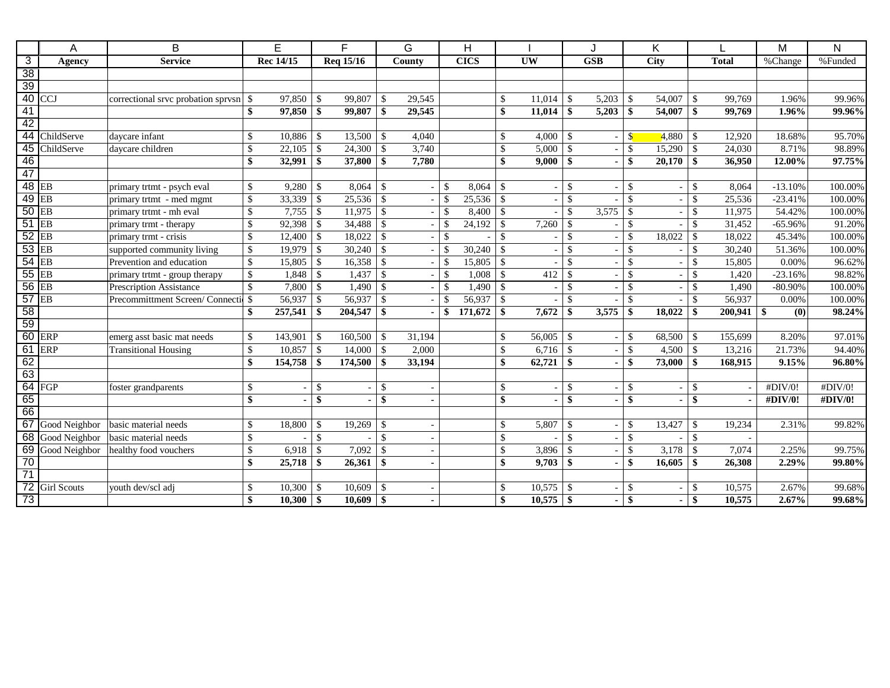|                       | A                  | B                                              |                                 | E             |                    | F           |                          | G      |               | H           |                    |                |                    |                          | Κ                               |                |               |              | M         | N                           |
|-----------------------|--------------------|------------------------------------------------|---------------------------------|---------------|--------------------|-------------|--------------------------|--------|---------------|-------------|--------------------|----------------|--------------------|--------------------------|---------------------------------|----------------|---------------|--------------|-----------|-----------------------------|
| $\overline{3}$        | Agency             | <b>Service</b>                                 |                                 | Rec 14/15     |                    | Req 15/16   |                          | County |               | <b>CICS</b> |                    | <b>UW</b>      |                    | $\overline{\text{GSB}}$  |                                 | <b>City</b>    |               | <b>Total</b> | %Change   | $\sqrt{\frac{1}{6}}$ Funded |
| $\overline{38}$       |                    |                                                |                                 |               |                    |             |                          |        |               |             |                    |                |                    |                          |                                 |                |               |              |           |                             |
| 39                    |                    |                                                |                                 |               |                    |             |                          |        |               |             |                    |                |                    |                          |                                 |                |               |              |           |                             |
| 40                    | <b>CCJ</b>         | correctional srvc probation sprvsn \ \ \ \ \ \ |                                 | 97.850        | $\mathcal{S}$      | 99,807      | -\$                      | 29.545 |               |             | $\mathbb{S}$       | 11.014         | $\mathbf{\$}$      | 5,203                    | $\mathcal{S}$                   | 54,007         | \$            | 99.769       | 1.96%     | 99.96%                      |
| 41                    |                    |                                                | \$                              | 97,850        | -\$                | 99,807      | -\$                      | 29,545 |               |             | \$                 | 11,014         | \$                 | 5,203                    | -\$                             | 54,007         | \$            | 99,769       | 1.96%     | 99.96%                      |
| 42                    |                    |                                                |                                 |               |                    |             |                          |        |               |             |                    |                |                    |                          |                                 |                |               |              |           |                             |
| 44                    | ChildServe         | daycare infant                                 | <sup>\$</sup>                   | 10.886        | -\$                | 13,500      | $\vert$ \$               | 4.040  |               |             | \$                 | 4.000          | -\$                | $\overline{\phantom{a}}$ | $\mathbf{s}$                    | 4.880          | \$.           | 12.920       | 18.68%    | 95.70%                      |
| 45                    | ChildServe         | daycare children                               | $\mathbb{S}$                    | 22,105        | $\mathcal{S}$      | 24,300      | $\vert s$                | 3,740  |               |             | $\mathcal{S}$      | 5,000          | $\mathcal{S}$      | $\overline{\phantom{a}}$ | $\mathbf{\hat{S}}$              | 15,290         | \$            | 24,030       | 8.71%     | 98.89%                      |
| $\overline{46}$       |                    |                                                | $\mathbf{\$}$                   | 32,991        | -\$                | 37,800      | $\vert$ \$               | 7,780  |               |             | $\mathbf{\$}$      | 9,000          | \$                 | $\sim$                   | \$                              | 20,170         | \$            | 36,950       | 12.00%    | 97.75%                      |
| 47                    |                    |                                                |                                 |               |                    |             |                          |        |               |             |                    |                |                    |                          |                                 |                |               |              |           |                             |
|                       | $48$ EB            | primary trtmt - psych eval                     | $\mathbb{S}$                    | 9,280         | $\mathbf{\hat{S}}$ | 8,064       | -\$                      |        | <sup>\$</sup> | 8,064       | <sup>\$</sup>      |                | \$                 | $\overline{\phantom{a}}$ | \$                              |                | \$            | 8,064        | $-13.10%$ | 100.00%                     |
|                       | $49$ EB            | primary trtmt - med mgmt                       | $\mathbf{\hat{S}}$              | 33,339        | -\$                | $25,536$ \$ |                          |        | $\mathcal{S}$ | 25,536      | <sup>\$</sup>      | $\sim$         | $\mathcal{S}$      |                          | \$                              | $\overline{a}$ | \$            | 25,536       | $-23.41%$ | 100.00%                     |
|                       | $50$ EB            | primary trtmt - mh eval                        | \$                              | 7,755         | -\$                | 11,975      | $\vert s$                |        | $\mathcal{S}$ | 8,400       | $\mathbb{S}$       |                | $\mathbf{\hat{S}}$ | 3,575                    | $\mathcal{S}$                   | $\overline{a}$ | \$            | 11,975       | 54.42%    | 100.00%                     |
| 51                    | EB                 | primary trmt - therapy                         | \$                              | 92,398        | -\$                | 34,488      | $\vert s$                |        | $\mathbf{\$}$ | 24,192      | $\mathcal{S}$      | 7,260          | $\mathbf{\$}$      |                          | $\mathbf{\hat{S}}$              |                | \$            | 31,452       | $-65.96%$ | 91.20%                      |
|                       | $52$ EB            | primary trmt - crisis                          | $\mathbf{\hat{S}}$              | 12,400        | -\$                | 18,022      | -\$                      |        | $\mathcal{S}$ |             | $\mathcal{S}$      |                | \$                 |                          | \$                              | 18,022         |               | 18,022       | 45.34%    | 100.00%                     |
|                       | $53$ EB            | supported community living                     | $\sqrt{\frac{1}{2}}$            | 19,979        | $\mathcal{S}$      | 30,240      | $\vert s$                |        | \$            | 30,240      | <sup>\$</sup>      | $\overline{a}$ | $\mathbf{\hat{S}}$ | $\overline{\phantom{a}}$ | $\mathcal{S}$                   |                | <sup>\$</sup> | 30,240       | 51.36%    | 100.00%                     |
|                       | $54$ EB            | Prevention and education                       | $\mathsf{\$}$                   | 15,805        | $\mathcal{S}$      | 16,358      | $\vert s$                |        | $\mathbf{\$}$ | 15,805      | $\mathcal{S}$      |                | $\mathbf{\hat{S}}$ |                          | $\mathcal{S}$                   |                | \$            | 15,805       | 0.00%     | 96.62%                      |
|                       | 55 EB              | primary trtmt - group therapy                  | $\mathbf{\hat{S}}$              | 1,848         | $\mathcal{S}$      | 1,437       | $\mathcal{S}$            |        | -\$           | 1.008       | <sup>\$</sup>      | 412            |                    | $\sim$                   | $\mathbf{\hat{S}}$              | $\overline{a}$ |               | 1.420        | $-23.16%$ | 98.82%                      |
|                       | 56 EB              | Prescription Assistance                        | $\mathcal{S}$                   | 7,800         | $\mathcal{S}$      | 1,490       | $\mathcal{S}$            |        | <sup>\$</sup> | 1,490       | <sup>\$</sup>      |                | $\mathbf{\hat{S}}$ |                          | $\mathsf{\$}$                   |                |               | 1,490        | $-80.90%$ | 100.00%                     |
|                       | $57$ EB            | Precommittment Screen/Connecti                 | $\mathcal{S}$                   | 56,937        | $\mathcal{S}$      | 56,937      | -\$                      |        | $\mathcal{S}$ | 56,937      | <sup>\$</sup>      |                | $\mathbf{\hat{S}}$ |                          | \$                              |                |               | 56,937       | 0.00%     | 100.00%                     |
| 58                    |                    |                                                | \$                              | 257,541       | \$                 | 204,547     | $\mathbf{\$}$            |        | \$            | 171,672     | $\mathbf{s}$       | 7,672          | \$                 | 3,575                    | \$                              | 18,022         |               | 200,941      | \$<br>(0) | 98.24%                      |
| 59                    |                    |                                                |                                 |               |                    |             |                          |        |               |             |                    |                |                    |                          |                                 |                |               |              |           |                             |
|                       | 60 ERP             | emerg asst basic mat needs                     | \$                              | 143,901       | -\$                | 160,500     | $\mathcal{S}$            | 31,194 |               |             | <sup>\$</sup>      | 56,005         |                    |                          | $\mathbf{\hat{S}}$              | 68,500         |               | 155,699      | 8.20%     | 97.01%                      |
|                       | 61 ERP             | <b>Transitional Housing</b>                    | $\overline{\mathcal{S}}$        | 10,857        | $\mathcal{S}$      | 14,000      | l s                      | 2,000  |               |             | $\mathbf{\hat{S}}$ | 6,716          | $\mathcal{S}$      |                          | $\mathsf{\$}$                   | 4,500          | \$            | 13,216       | 21.73%    | 94.40%                      |
| 62                    |                    |                                                | \$                              | 154,758       | -\$                | 174,500     | -\$                      | 33,194 |               |             | $\mathbf{s}$       | 62,721         | \$                 |                          | \$                              | 73,000         |               | 168,915      | 9.15%     | 96.80%                      |
| 63                    |                    |                                                |                                 |               |                    |             |                          |        |               |             |                    |                |                    |                          |                                 |                |               |              |           |                             |
|                       | 64 FGP             | foster grandparents                            | \$                              |               | -\$                |             | $\mathcal{S}$            |        |               |             | $\mathbb{S}$       |                | $\mathcal{S}$      |                          | \$                              | ÷,             | <sup>\$</sup> |              | #DIV/0!   | #DIV/0!                     |
| 65                    |                    |                                                | \$                              |               | $\mathbf{\$}$      |             | $\mathbf{s}$             |        |               |             | $\mathbf{s}$       |                | \$                 |                          | $\boldsymbol{\hat{\mathbf{s}}}$ |                | \$            |              | #DIV/0!   | #DIV/0!                     |
| 66                    |                    |                                                |                                 |               |                    |             |                          |        |               |             |                    |                |                    |                          |                                 |                |               |              |           |                             |
|                       | 67 Good Neighbor   | basic material needs                           | $\mathcal{S}$                   | 18,800        | $\mathbf{\hat{S}}$ | 19,269      | $\mathcal{S}$            |        |               |             | $\mathbb{S}$       | 5,807          | <sup>\$</sup>      |                          | $\mathbf{\hat{S}}$              | 13,427         |               | 19,234       | 2.31%     | 99.82%                      |
|                       | 68 Good Neighbor   | basic material needs                           | $\mathbf{\hat{S}}$              |               | $\mathcal{S}$      |             | $\mathcal{S}$            |        |               |             | $\mathcal{S}$      |                | $\hat{\mathbf{S}}$ |                          | $\mathbf{\hat{S}}$              |                | \$            |              |           |                             |
|                       | 69 Good Neighbor   | healthy food vouchers                          | \$                              | 6,918         | $\mathcal{S}$      | 7,092       | $\mathcal{S}$            |        |               |             | $\mathbf{\hat{S}}$ | 3,896          |                    |                          | $\mathbf{\hat{S}}$              | 3,178          |               | 7,074        | 2.25%     | 99.75%                      |
| 70<br>$\overline{71}$ |                    |                                                | $\boldsymbol{\hat{\mathbf{s}}}$ | 25,718        | -\$                | 26,361      | \$                       |        |               |             | \$                 | 9,703          | \$                 |                          | \$                              | 16,605         | \$            | 26,308       | 2.29%     | 99.80%                      |
| 72                    |                    |                                                |                                 |               |                    |             |                          |        |               |             |                    |                |                    |                          |                                 |                |               |              |           |                             |
|                       | <b>Girl Scouts</b> | youth dev/scl adj                              | \$                              | 10,300        | -\$                | 10,609      | $\mathcal{S}$            |        |               |             | $\mathbb{S}$       | 10,575         |                    |                          | $\mathcal{S}$                   |                |               | 10,575       | 2.67%     | 99.68%                      |
| 73                    |                    |                                                | $\boldsymbol{\hat{\mathbf{s}}}$ | $10,300$ \ \$ |                    | 10,609      | $\overline{\phantom{a}}$ |        |               |             | $\mathbf{s}$       | 10,575         | -\$                |                          | \$                              |                |               | 10,575       | 2.67%     | 99.68%                      |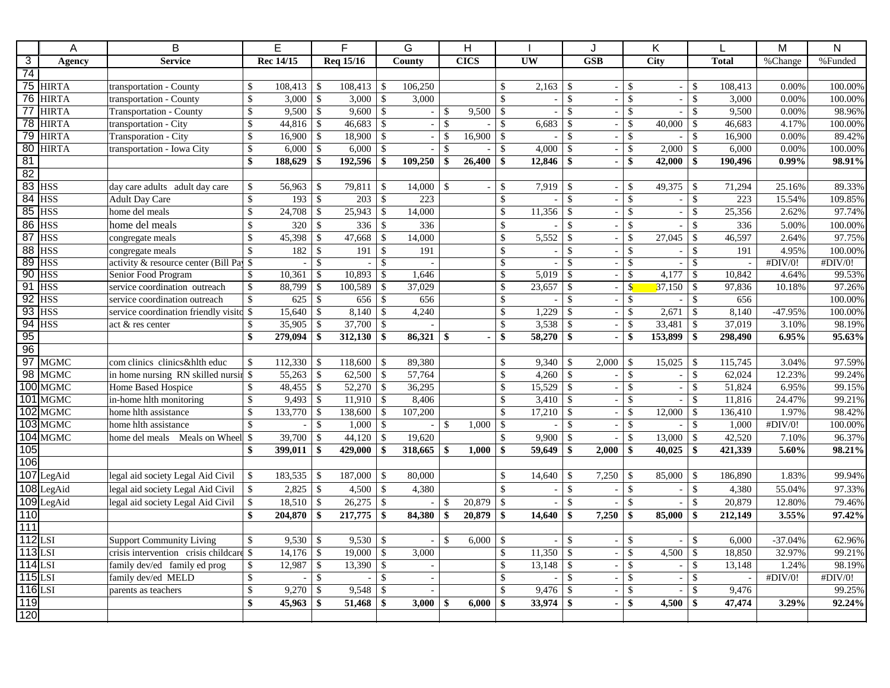|                           | A                      | B                                             |                           | E            |                                 | F.        |                    | G                        |               | H           |                     |                          |                         | J          |                           | K              |               |              | M         | $\mathsf{N}$ |
|---------------------------|------------------------|-----------------------------------------------|---------------------------|--------------|---------------------------------|-----------|--------------------|--------------------------|---------------|-------------|---------------------|--------------------------|-------------------------|------------|---------------------------|----------------|---------------|--------------|-----------|--------------|
| $\overline{\overline{3}}$ | Agency                 | <b>Service</b>                                |                           | Rec 14/15    |                                 | Req 15/16 |                    | County                   |               | <b>CICS</b> |                     | <b>UW</b>                |                         | <b>GSB</b> |                           | City           |               | <b>Total</b> | %Change   | %Funded      |
| $\overline{74}$           |                        |                                               |                           |              |                                 |           |                    |                          |               |             |                     |                          |                         |            |                           |                |               |              |           |              |
|                           | 75 HIRTA               | transportation - County                       | \$                        | 108,413      | \$                              | 108,413   | l \$               | 106,250                  |               |             | \$                  | 2,163                    | $\mathcal{S}$           |            | $\mathbb{S}$              | $\omega$       | $\mathcal{S}$ | 108,413      | 0.00%     | 100.00%      |
|                           | 76 HIRTA               | transportation - County                       | $\mathsf{\$}$             | 3,000        | $\boldsymbol{\mathsf{S}}$       | 3.000     | $\mathcal{S}$      | 3.000                    |               |             | \$                  | $\mathbf{r}$             | $\mathcal{S}$           |            | \$                        | $\overline{a}$ | $\mathcal{S}$ | 3,000        | 0.00%     | 100.00%      |
| $\overline{77}$           | <b>HIRTA</b>           | <b>Transportation - County</b>                | \$                        | 9,500        | $\mathcal{S}$                   | 9,600     | $\mathcal{S}$      |                          | -\$           | 9.500       | $\mathcal{S}$       | $\overline{\phantom{a}}$ | $\mathbf{\hat{S}}$      |            | $\mathbf{\hat{S}}$        | $\blacksquare$ | $\mathcal{S}$ | 9,500        | 0.00%     | 98.96%       |
|                           | 78 HIRTA               | transportation - City                         | \$                        | 44,816       | $\mathcal{S}$                   | 46.683    | $\mathcal{S}$      |                          | \$            |             | $\mathcal{S}$       | 6.683                    | $\mathcal{S}$           |            | \$                        | 40,000         | $\mathcal{S}$ | 46.683       | 4.17%     | 100.00%      |
| 79                        | <b>HIRTA</b>           | Transporation - City                          | \$                        | 16,900       | $\sqrt[6]{3}$                   | 18,900    | $\mathcal{S}$      | $\sim$                   | -\$           | 16,900      | $\mathcal{S}$       | $\mathbf{r}$             | $\sqrt{3}$              |            | $\$$                      |                | $\sqrt{3}$    | 16,900       | 0.00%     | 89.42%       |
|                           | 80 HIRTA               | transportation - Iowa City                    | \$                        | $6,000$ \ \$ |                                 | 6,000     | $\mathcal{S}$      | $\overline{\phantom{a}}$ | $\mathcal{S}$ |             | $\mathcal{S}$       | 4,000                    | $\mathcal{S}$           |            | $\mathbf{\hat{S}}$        | 2,000          | $\mathcal{S}$ | 6,000        | 0.00%     | 100.00%      |
| 81                        |                        |                                               | \$                        | 188,629      | \$                              | 192,596   | -\$                | 109,250                  |               | 26,400      | \$                  | 12,846                   | $\mathbf{\$}$           |            | \$                        | 42,000         | $\mathbf{\$}$ | 190,496      | $0.99\%$  | 98.91%       |
| 82                        |                        |                                               |                           |              |                                 |           |                    |                          |               |             |                     |                          |                         |            |                           |                |               |              |           |              |
|                           | <b>83 HSS</b>          | day care adults adult day care                | \$                        | 56,963       | $\mathcal{S}$                   | 79,811    | $\mathcal{S}$      | 14,000                   | $\mathsf{\$}$ |             | \$                  | 7,919                    | $\mathcal{S}$           |            | $\mathbb{S}$              | 49,375         | $\mathcal{S}$ | 71,294       | 25.16%    | 89.33%       |
| 84                        | <b>HSS</b>             | <b>Adult Day Care</b>                         | $\boldsymbol{\mathsf{S}}$ | 193          | \$                              | 203       | $\mathcal{S}$      | 223                      |               |             | \$                  |                          | $\mathbf{\hat{S}}$      |            | $\boldsymbol{\mathsf{S}}$ | $\omega$       | $\sqrt$       | 223          | 15.54%    | 109.85%      |
|                           | <b>85 HSS</b>          | home del meals                                | $\boldsymbol{\mathsf{S}}$ | 24,708       | \$                              | 25,943    | l \$               | 14,000                   |               |             | $\mathbb{S}$        | 11,356                   | $\mathbb{S}$            |            | $\mathsf{\$}$             | $\mathbb{L}$   | $\mathcal{S}$ | 25,356       | 2.62%     | 97.74%       |
|                           | 86 HSS                 | home del meals                                | \$                        | 320          | $\mathbf{\hat{S}}$              | 336       | $\mathcal{S}$      | 336                      |               |             | \$                  |                          | $\mathcal{S}$           |            | \$                        |                | $\mathsf{\$}$ | 336          | 5.00%     | 100.00%      |
| 87                        | <b>HSS</b>             | congregate meals                              | \$                        | 45,398       | $\mathbb{S}$                    | 47,668    | \$                 | 14,000                   |               |             | \$                  | 5,552                    | $\mathcal{S}$           |            | \$                        | 27,045         | $\mathcal{S}$ | 46,597       | 2.64%     | 97.75%       |
|                           | 88 HSS                 | congregate meals                              | $\boldsymbol{\mathsf{S}}$ | 182          | $\mathcal{S}$                   | 191       | $\mathbf{\hat{S}}$ | 191                      |               |             | $\mathbf{\hat{S}}$  | $\overline{\phantom{a}}$ | $\mathcal{S}$           |            | \$                        | $\sim$         | $\mathsf{\$}$ | 191          | 4.95%     | 100.00%      |
|                           | <b>89 HSS</b>          | activity $\&$ resource center (Bill Pa) $\$\$ |                           |              | \$                              |           | -\$                |                          |               |             | $\mathbb{S}$        | $\omega$                 | $\mathbf{\hat{s}}$      |            | \$                        | $\sim$         | $\sqrt{3}$    |              | #DIV/0!   | #DIV/0!      |
|                           | <b>90 HSS</b>          | Senior Food Program                           | \$                        | 10,361       | $\mathcal{S}$                   | 10,893    | $\mathbf{\hat{s}}$ | 1.646                    |               |             | $\mathbb{S}$        | 5,019                    | $\mathcal{S}$           |            | $\mathbf S$               | 4,177          | $\mathcal{S}$ | 10.842       | 4.64%     | 99.53%       |
| 91                        | <b>HSS</b>             | service coordination outreach                 | \$                        | 88,799       | \$                              | 100,589   | \$                 | 37,029                   |               |             | \$                  | 23,657                   | \$                      |            | $\mathbf{\hat{S}}$        | 37,150         | \$            | 97,836       | 10.18%    | 97.26%       |
| 92                        | <b>HSS</b>             | service coordination outreach                 | $\sqrt{\frac{1}{2}}$      | 625          | $\mathbf{\hat{S}}$              | 656       | \$                 | 656                      |               |             | \$                  | $\sim$                   | $\mathbf{\hat{s}}$      |            | \$                        | $\sim$         | $\mathcal{S}$ | 656          |           | 100.00%      |
|                           | <b>93 HSS</b>          | service coordination friendly visite \$       |                           | 15,640       | \$                              | 8,140     | $\mathcal{S}$      | 4,240                    |               |             | \$                  | 1,229                    | $\mathbf{\hat{S}}$      |            | $\boldsymbol{\mathsf{S}}$ | 2,671          | $\sqrt{3}$    | 8,140        | -47.95%   | 100.00%      |
|                           | <b>94 HSS</b>          | act & res center                              | \$                        | 35,905       | \$                              | 37,700    | $\mathcal{S}$      |                          |               |             | \$                  | 3,538                    | $\sqrt{3}$              | ÷,         | $\overline{\$}$           | 33,481         | $\mathcal{S}$ | 37,019       | 3.10%     | 98.19%       |
| 95                        |                        |                                               | \$                        | 279,094      | \$                              | 312,130   | $\sqrt{3}$         | $86,321$ \ \\$           |               |             | \$                  | 58,270                   | $\frac{1}{2}$           |            | \$                        | 153,899        | \$            | 298,490      | 6.95%     | 95.63%       |
| 96                        |                        |                                               |                           |              |                                 |           |                    |                          |               |             |                     |                          |                         |            |                           |                |               |              |           |              |
| $\overline{97}$           | <b>MGMC</b>            | com clinics clinics&hlth educ                 | \$                        | 112,330      | -\$                             | 118,600   | -\$                | 89.380                   |               |             | \$                  | 9.340                    | -\$                     | 2,000      | \$                        | 15,025         | <sup>\$</sup> | 115,745      | 3.04%     | 97.59%       |
| 98                        | <b>MGMC</b>            | in home nursing RN skilled nursin \$          |                           | 55,263       | $\mathbb{S}$                    | 62,500    | $\mathcal{S}$      | 57,764                   |               |             | \$                  | 4,260                    | $\mathcal{S}$           |            | $\overline{\$}$           | $\bar{a}$      | $\mathcal{S}$ | 62,024       | 12.23%    | 99.24%       |
| 101                       | 100 MGMC               | Home Based Hospice                            | $\mathbb{S}$              | 48,455       | $\mathcal{S}$                   | 52,270    | $\mathcal{S}$      | 36,295                   |               |             | \$                  | 15,529                   | $\mathbf{\hat{s}}$      |            | \$                        | $\omega$       | $\mathcal{S}$ | 51,824       | 6.95%     | 99.15%       |
|                           | <b>MGMC</b>            | in-home hlth monitoring                       | $\$$                      | 9,493        | \$                              | 11,910    | $\mathbf{\hat{s}}$ | 8,406                    |               |             | $\mathbb{S}$        | 3,410                    | $\mathcal{S}$           |            | $\mathbf{\hat{S}}$        | $\mathbb{L}$   | $\mathcal{S}$ | 11,816       | 24.47%    | 99.21%       |
|                           | $102$ MGMC             | home hlth assistance                          | \$                        | 133,770      | $\mathbb{S}$                    | 138,600   | \$                 | 107,200                  |               |             | \$                  | 17,210                   | $\sqrt{3}$              |            | \$                        | 12,000         | $\mathcal{S}$ | 136,410      | 1.97%     | 98.42%       |
| $\overline{103}$          | MGMC                   | home hlth assistance                          | \$                        |              | $\mathbf{\hat{S}}$              | 1,000     | \$                 |                          | $\mathcal{S}$ | 1,000       | \$                  |                          | $\mathbf{\hat{s}}$      |            | \$                        |                | $\mathcal{S}$ | 1,000        | #DIV/0!   | 100.00%      |
| 105                       | 104 MGMC               | home del meals Meals on Wheel \$              |                           | 39,700       | \$                              | 44,120    | \$                 | 19,620                   |               |             | $\mathcal{S}$<br>\$ | 9,900                    | $\mathcal{S}$           |            | \$                        | 13,000         | $\mathcal{S}$ | 42,520       | 7.10%     | 96.37%       |
| 106                       |                        |                                               | \$                        | 399,011      | \$                              | 429,000   | $\mathbf{\hat{s}}$ | $318,665$ \$             |               | 1,000       |                     | 59,649                   | -\$                     | 2,000      | \$                        | 40,025         | -\$           | 421,339      | 5.60%     | 98.21%       |
|                           |                        |                                               |                           |              |                                 |           |                    |                          |               |             |                     |                          |                         |            |                           |                |               |              |           |              |
|                           | 107 LegAid             | legal aid society Legal Aid Civil             | \$                        | 183,535      | $\mathcal{S}$                   | 187,000   | $\mathcal{S}$      | 80,000                   |               |             | \$                  | 14,640                   | $\mathcal{S}$           | 7,250      | $\mathbf{\hat{S}}$        | 85,000         | $\mathcal{S}$ | 186,890      | 1.83%     | 99.94%       |
|                           | 108 LegAid             | legal aid society Legal Aid Civil             | $\mathcal{S}$             | 2,825        | $\sqrt{3}$                      | 4,500     | $\mathcal{S}$      | 4,380                    |               |             | \$                  | $\overline{\phantom{a}}$ | $\sqrt$                 |            | \$                        | $\omega$       | $\sqrt$       | 4,380        | 55.04%    | 97.33%       |
|                           | 109 LegAid             | legal aid society Legal Aid Civil             | \$                        | $18,510$ \$  |                                 | 26,275    | $\mathcal{S}$      |                          | -S            | 20,879      | $\mathcal{S}$       | $\bar{a}$                | $\sqrt{3}$              |            | \$                        | $\sim$         | $\mathcal{S}$ | 20,879       | 12.80%    | 79.46%       |
| 110                       |                        |                                               | \$                        | 204,870      | \$                              | 217,775   | <b>S</b>           | 84,380                   | \$            | 20,879      | \$                  | 14,640                   | $\mathbf{\$}$           | 7,250      | \$                        | 85,000         | $\mathbf{\$}$ | 212,149      | 3.55%     | 97.42%       |
| 111                       |                        |                                               |                           |              |                                 |           |                    |                          |               |             |                     |                          |                         |            |                           |                |               |              |           |              |
|                           | $112$ LSI              | <b>Support Community Living</b>               | \$                        | $9,530$   \$ |                                 |           |                    |                          | \$            | 6,000       | -\$                 | $\omega$                 | $\mathcal{S}$           |            | \$                        | $\omega$       | $\mathcal{S}$ | 6.000        | $-37.04%$ | 62.96%       |
|                           | $113$ LSI              | crisis intervention crisis childcard \$       |                           | 14,176       | $\mathcal{S}$                   | 19,000    | $\mathcal{S}$      | 3,000                    |               |             | \$                  | 11,350                   | $\mathbf{\hat{S}}$      |            | \$                        | 4,500          | $\mathcal{S}$ | 18,850       | 32.97%    | 99.21%       |
|                           | $114$ <sub>LSI</sub>   | family dev/ed family ed prog                  | \$                        | 12,987       | $\mathcal{S}$                   | 13,390    | $\mathcal{S}$      |                          |               |             | $\mathbb{S}$        | 13.148                   | $\mathbf{\hat{s}}$      |            | \$                        | $\blacksquare$ | $\mathcal{S}$ | 13,148       | 1.24%     | 98.19%       |
|                           | $115$ LSI<br>$116$ LSI | family dev/ed MELD                            | $\overline{\$}$           |              | $\mathbf{\hat{S}}$              |           | \$                 |                          |               |             | \$                  |                          | $\mathbf{\hat{s}}$      |            | \$                        | ÷,             | $\sqrt{3}$    |              | #DIV/0!   | #DIV/0!      |
| 119                       |                        | parents as teachers                           | $\$$                      | 9,270        | \$                              | 9,548     | $\mathcal{S}$      |                          |               |             | \$                  | 9,476                    | $\sqrt[6]{\frac{1}{2}}$ |            | $\mathbf{\hat{S}}$        | $\blacksquare$ | $\mathcal{S}$ | 9,476        |           | 99.25%       |
|                           |                        |                                               | \$                        | 45,963       | $\boldsymbol{\hat{\mathbf{s}}}$ | 51,468    | -\$                | 3,000                    | \$            | 6,000       |                     | 33,974                   | -\$                     |            | \$                        | 4,500          | -\$           | 47,474       | 3.29%     | 92.24%       |
| 120                       |                        |                                               |                           |              |                                 |           |                    |                          |               |             |                     |                          |                         |            |                           |                |               |              |           |              |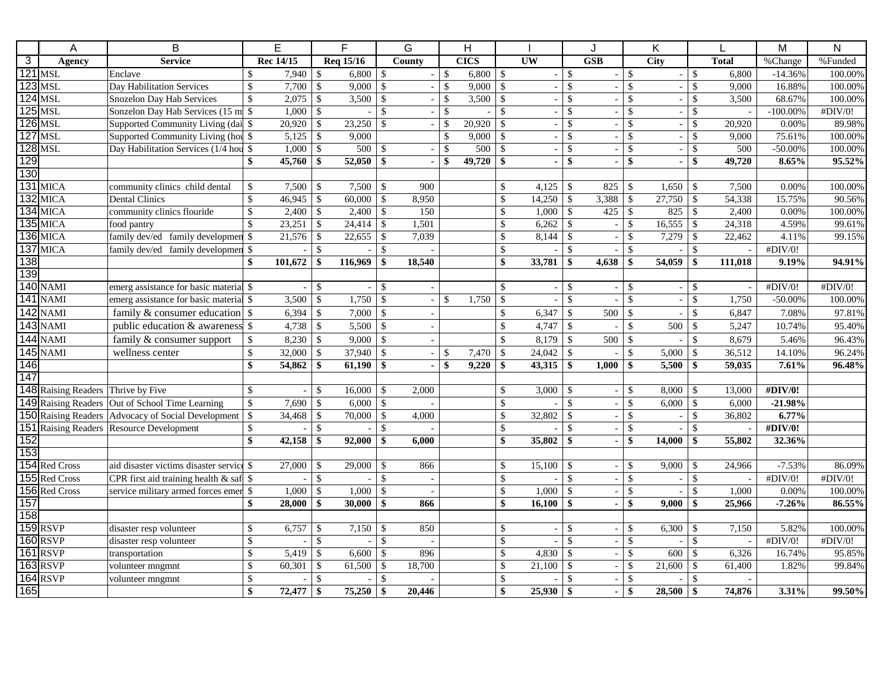|                | A                                  | B                                                  |                                 | E               |               | F.        |               | G                        |                    | $\overline{H}$ |                    |                          |                    |       |                         | Κ                        |                    |              | M           | $\overline{\mathsf{N}}$ |
|----------------|------------------------------------|----------------------------------------------------|---------------------------------|-----------------|---------------|-----------|---------------|--------------------------|--------------------|----------------|--------------------|--------------------------|--------------------|-------|-------------------------|--------------------------|--------------------|--------------|-------------|-------------------------|
| $\overline{3}$ | Agency                             | <b>Service</b>                                     |                                 | Rec 14/15       |               | Req 15/16 |               | County                   |                    | <b>CICS</b>    |                    | UW                       | <b>GSB</b>         |       |                         | <b>City</b>              |                    | <b>Total</b> | %Change     | %Funded                 |
|                | $121$ MSL                          | Enclave                                            | $\mathcal{S}$                   | 7,940           | l \$          | 6.800     | $\mathcal{S}$ | $\sim$                   | $\mathcal{S}$      | 6,800          | $\mathbb{S}$       | $\omega$                 | $\mathcal{S}$      |       | $\mathbb{S}$            | $\sim$                   | $\mathcal{S}$      | 6.800        | $-14.36%$   | 100.00%                 |
|                | $123$ MSL                          | Day Habilitation Services                          | \$                              | 7,700           | $\mathcal{S}$ | 9,000     | \$.           |                          | -\$                | 9,000          | \$                 | $\overline{\phantom{a}}$ | $\mathsf{\$}$      |       | \$                      | $\overline{\phantom{a}}$ | $\mathcal{S}$      | 9,000        | 16.88%      | 100.00%                 |
|                | $124$ MSL                          | Snozelon Day Hab Services                          | $\mathcal{S}$                   | 2,075           | - \$          | 3,500     | $\mathcal{S}$ | $\overline{\phantom{a}}$ | -\$                | 3,500          | \$                 | $\sim$                   | $\sqrt{3}$         |       | \$                      | $\sim$                   | $\mathcal{S}$      | 3,500        | 68.67%      | 100.00%                 |
|                | $125$ MSL                          |                                                    |                                 | $1,000$ \$      |               |           | \$            | $\sim$                   | $\mathbf{\hat{S}}$ |                | \$                 | $\mathbb{L}$             | $\mathcal{S}$      |       | \$                      | $\sim$                   | $\mathcal{S}$      |              | $-100.00\%$ | #DIV/0!                 |
|                | $126$ MSL                          | Supported Community Living (dai \\$                |                                 | 20,920          | $\mathcal{S}$ | 23,250    | $\mathcal{S}$ | $\sim$                   | \$.                | 20,920         | $\mathcal{S}$      | $\overline{\phantom{a}}$ | $\mathbf{\hat{S}}$ |       | $\mathbf{\hat{S}}$      | $\overline{\phantom{a}}$ | $\mathbf{\hat{S}}$ | 20.920       | 0.00%       | 89.98%                  |
|                | <b>127 MSL</b>                     | Supported Community Living (hou \$                 |                                 |                 |               | 9,000     |               |                          | \$                 | 9,000          | \$                 | $\mathbf{r}$             | $\mathbf{\hat{S}}$ |       | $\overline{\mathbb{S}}$ | $\sim$                   | \$                 | 9,000        | 75.61%      | 100.00%                 |
|                | <b>128 MSL</b>                     | Day Habilitation Services (1/4 hou \$              |                                 |                 |               | 500       | $\mathcal{S}$ |                          | $\mathcal{S}$      | 500            | $\mathcal{S}$      | $\overline{a}$           | $\mathbf{\hat{S}}$ |       | \$                      | $\sim$                   | $\mathcal{S}$      | 500          | $-50.00\%$  | 100.00%                 |
| 129            |                                    |                                                    | \$                              | $45,760$ \ \\$  |               | 52,050    | $\mathbf{\$}$ |                          | \$                 | 49,720         |                    | $\blacksquare$           | \$                 |       | \$                      | $\blacksquare$           | \$                 | 49,720       | 8.65%       | 95.52%                  |
| 130            |                                    |                                                    |                                 |                 |               |           |               |                          |                    |                |                    |                          |                    |       |                         |                          |                    |              |             |                         |
|                | 131 MICA                           | community clinics child dental                     | $\mathcal{S}$                   | 7,500           | $\mathcal{S}$ | 7,500     | $\mathcal{S}$ | 900                      |                    |                | $\mathcal{S}$      | 4,125                    | $\mathcal{S}$      | 825   | \$                      | 1,650                    | $\mathcal{S}$      | 7,500        | 0.00%       | 100.00%                 |
| 132            | <b>MICA</b>                        | <b>Dental Clinics</b>                              | \$                              |                 |               | 60,000    | $\mathcal{S}$ | 8,950                    |                    |                | \$                 | 14,250                   | $\mathcal{S}$      | 3,388 | $\mathbb{S}$            | 27,750                   | $\mathcal{S}$      | 54,338       | 15.75%      | 90.56%                  |
|                | 134 MICA                           | community clinics flouride                         | $\sqrt$                         |                 |               | 2,400     | $\mathcal{S}$ | 150                      |                    |                | \$                 | 1,000                    | $\mathbb{S}$       | 425   | \$                      | 825                      | $\mathcal{S}$      | 2,400        | 0.00%       | 100.00%                 |
|                | $135$ MICA                         | food pantry                                        | $\mathbf{\$}$                   | $23,251$ \$     |               | 24,414    | $\mathcal{S}$ | 1,501                    |                    |                | \$                 | 6,262                    | $\mathbb{S}$       |       | $\mathsf{\$}$           | 16,555                   | $\mathcal{S}$      | 24,318       | 4.59%       | 99.61%                  |
|                | 136 MICA                           | family dev/ed family developmen \$                 |                                 | $21,576$ \$     |               | 22,655    | $\mathcal{S}$ | 7,039                    |                    |                | \$                 | 8,144                    | $\mathbf{\hat{S}}$ |       | \$                      | 7,279                    | $\mathcal{S}$      | 22,462       | 4.11%       | 99.15%                  |
|                | 137 MICA                           | family dev/ed family developmen \$                 |                                 |                 | $\mathcal{S}$ |           | $\mathcal{S}$ |                          |                    |                | $\mathbf{\hat{S}}$ | $\sim$                   | $\mathcal{S}$      |       | $\mathbb{S}$            | $\sim$                   | $\mathcal{S}$      |              | #DIV/0!     |                         |
| 138            |                                    |                                                    | \$                              | 101,672         | $\mathbf{\$}$ | 116,969   | \$            | 18,540                   |                    |                | \$                 | 33,781                   | $\mathbf{\$}$      | 4,638 | \$                      | 54,059                   | $\mathbf{s}$       | 111,018      | 9.19%       | 94.91%                  |
| 139            |                                    |                                                    |                                 |                 |               |           |               |                          |                    |                |                    |                          |                    |       |                         |                          |                    |              |             |                         |
|                | <b>140 NAMI</b>                    | emerg assistance for basic material \$             |                                 |                 | $-1$ \$       |           | $\mathbb{S}$  |                          |                    |                | $\mathbb{S}$       | $\blacksquare$           | $\mathcal{S}$      |       | $\mathbb{S}$            | $\overline{\phantom{a}}$ | $\mathcal{S}$      |              | #DIV/0!     | #DIV/0!                 |
|                | 141 NAMI                           | emerg assistance for basic material \$             |                                 | 3,500           | -\$           | 1,750     | $\mathcal{S}$ |                          | \$                 | 1,750          | \$                 | $\blacksquare$           | $\mathcal{S}$      |       | \$                      |                          | $\mathbf{\hat{S}}$ | 1,750        | $-50.00\%$  | 100.00%                 |
|                | <b>142 NAMI</b>                    | family & consumer education $\frac{1}{2}$          |                                 |                 |               | 7,000     | $\sqrt{3}$    |                          |                    |                | \$                 | 6,347                    | $\mathcal{S}$      | 500   | \$                      |                          | $\mathcal{S}$      | 6,847        | 7.08%       | 97.81%                  |
|                | <b>143 NAMI</b>                    | public education & awareness \$                    |                                 | 4,738   \$      |               | 5,500     | $\mathcal{S}$ | $\sim$                   |                    |                | \$                 | 4,747                    | $\sqrt{3}$         |       | $\mathbf{\hat{S}}$      | 500                      | $\mathcal{S}$      | 5,247        | 10.74%      | 95.40%                  |
|                | <b>144 NAMI</b>                    | family & consumer support                          | $\mathcal{S}$                   |                 |               | 9,000     | $\mathcal{S}$ |                          |                    |                | \$                 | 8,179                    | $\mathcal{S}$      | 500   | \$                      |                          | $\mathcal{S}$      | 8,679        | 5.46%       | 96.43%                  |
|                | <b>145 NAMI</b>                    | wellness center                                    | $\mathbf{\hat{S}}$              | $32,000$ \ \ \$ |               | 37,940    | $\mathcal{S}$ | $\overline{\phantom{a}}$ | -\$                | 7,470          | \$                 | 24,042                   | $\mathcal{S}$      |       | \$                      | 5,000                    | $\mathcal{S}$      | 36,512       | 14.10%      | 96.24%                  |
| 146            |                                    |                                                    | $\boldsymbol{\hat{\mathbf{s}}}$ |                 |               | 61,190    | \$            |                          | $\mathbf{s}$       | 9,220          | \$                 | $43,315$ \$              |                    | 1,000 | $\mathbf{s}$            | 5,500                    | \$                 | 59,035       | 7.61%       | 96.48%                  |
| 147            |                                    |                                                    |                                 |                 |               |           |               |                          |                    |                |                    |                          |                    |       |                         |                          |                    |              |             |                         |
|                | 148 Raising Readers Thrive by Five |                                                    | $\mathcal{S}$                   |                 | $\mathcal{S}$ | 16,000    | $\sqrt{3}$    | 2,000                    |                    |                | \$                 | 3,000                    | $\mathcal{S}$      |       | \$                      | 8,000                    | $\mathcal{S}$      | 13,000       | #DIV/0!     |                         |
|                |                                    | 149 Raising Readers Out of School Time Learning    | $\mathcal{S}$                   |                 |               | 6,000     | $\mathcal{S}$ |                          |                    |                | \$                 |                          | $\mathcal{S}$      |       | \$                      | 6,000                    | $\mathcal{S}$      | 6,000        | $-21.98%$   |                         |
|                |                                    | 150 Raising Readers Advocacy of Social Development | $\mathcal{S}$                   | 34,468          | - \$          | 70,000    | $\mathcal{S}$ | 4,000                    |                    |                | \$                 | 32,802                   | \$                 |       | \$                      |                          | $\mathcal{S}$      | 36,802       | 6.77%       |                         |
|                |                                    | <b>151</b> Raising Readers Resource Development    | $\sqrt$                         |                 | \$            |           | $\mathcal{S}$ |                          |                    |                | \$                 | $\sim$                   | $\mathbf{\hat{S}}$ |       | \$                      | $\sim$                   | $\mathcal{S}$      | $\sim$       | #DIV/0!     |                         |
| 152            |                                    |                                                    | \$                              |                 |               | 92,000    | \$            | 6,000                    |                    |                | \$                 | 35,802                   | $\mathbf{\$}$      |       | \$                      | 14,000                   | $\mathbf{s}$       | 55,802       | 32.36%      |                         |
| 153            |                                    |                                                    |                                 |                 |               |           |               |                          |                    |                |                    |                          |                    |       |                         |                          |                    |              |             |                         |
|                | 154 Red Cross                      | aid disaster victims disaster service \$           |                                 | $27,000$ \$     |               | 29,000    | $\mathcal{S}$ | 866                      |                    |                | \$                 | 15,100                   | - \$               |       | $\mathbb{S}$            | 9,000                    | - \$               | 24,966       | $-7.53%$    | 86.09%                  |
|                | 155 Red Cross                      | CPR first aid training health $\&$ saf $\$$        |                                 |                 | $\mathcal{S}$ |           | $\mathcal{S}$ |                          |                    |                | \$                 |                          | $\mathcal{S}$      |       | \$                      |                          | $\mathcal{S}$      |              | #DIV/0!     | #DIV/0!                 |
|                | 156 Red Cross                      | service military armed forces emer \\$             |                                 | $1,000$ \$      |               | 1,000     | $\sqrt{3}$    |                          |                    |                | \$                 | 1,000                    | $\mathbf{\hat{S}}$ |       | \$                      | $\blacksquare$           | $\mathcal{S}$      | 1,000        | 0.00%       | 100.00%                 |
| 157            |                                    |                                                    | \$                              | $28,000$ \$     |               | 30,000    | $\mathbf{\$}$ | 866                      |                    |                | \$                 | 16,100                   | $\mathbf{\$}$      |       | \$                      | 9,000                    | $\mathbf{\$}$      | 25,966       | $-7.26%$    | 86.55%                  |
| 158            |                                    |                                                    |                                 |                 |               |           |               |                          |                    |                |                    |                          |                    |       |                         |                          |                    |              |             |                         |
|                | 159 RSVP                           | disaster resp volunteer                            | \$                              | 6,757           | $\mathcal{S}$ | 7,150     | $\mathcal{S}$ | 850                      |                    |                | \$                 | $\overline{\phantom{a}}$ | $\mathcal{S}$      |       | \$                      | 6,300                    | $\mathcal{S}$      | 7,150        | 5.82%       | 100.00%                 |
|                | 160 RSVP                           | disaster resp volunteer                            | $\sqrt$                         |                 | $\mathcal{S}$ |           | \$.           |                          |                    |                | \$                 | $\Box$                   | $\mathcal{S}$      |       | \$                      |                          | $\mathcal{S}$      |              | #DIV/0!     | #DIV/0!                 |
|                | 161 RSVP                           | transportation                                     | \$                              | 5,419           | \$            | 6,600     | $\mathcal{S}$ | 896                      |                    |                | \$                 | 4,830                    | $\sqrt{3}$         |       | $\overline{\mathbb{S}}$ | 600                      | $\mathcal{S}$      | 6,326        | 16.74%      | 95.85%                  |
|                | 163 RSVP                           | volunteer mngmnt                                   | $\mathsf{\$}$                   | 60,301          | \$            | 61,500    | $\mathcal{S}$ | 18,700                   |                    |                | \$                 | 21,100                   | $\mathcal{S}$      |       | \$                      | 21,600                   | \$                 | 61,400       | 1.82%       | 99.84%                  |
|                | $164$ RSVP                         | volunteer mngmnt                                   | $\sqrt$                         |                 | \$            |           | $\mathcal{S}$ |                          |                    |                | \$                 |                          | $\mathcal{S}$      |       | \$                      |                          | $\mathcal{S}$      |              |             |                         |
| 165            |                                    |                                                    | \$                              | 72,477          | \$            | 75,250    | \$            | 20,446                   |                    |                |                    | 25,930                   | \$                 |       | $\overline{\mathbf{s}}$ | 28,500                   | -\$                | 74,876       | 3.31%       | 99.50%                  |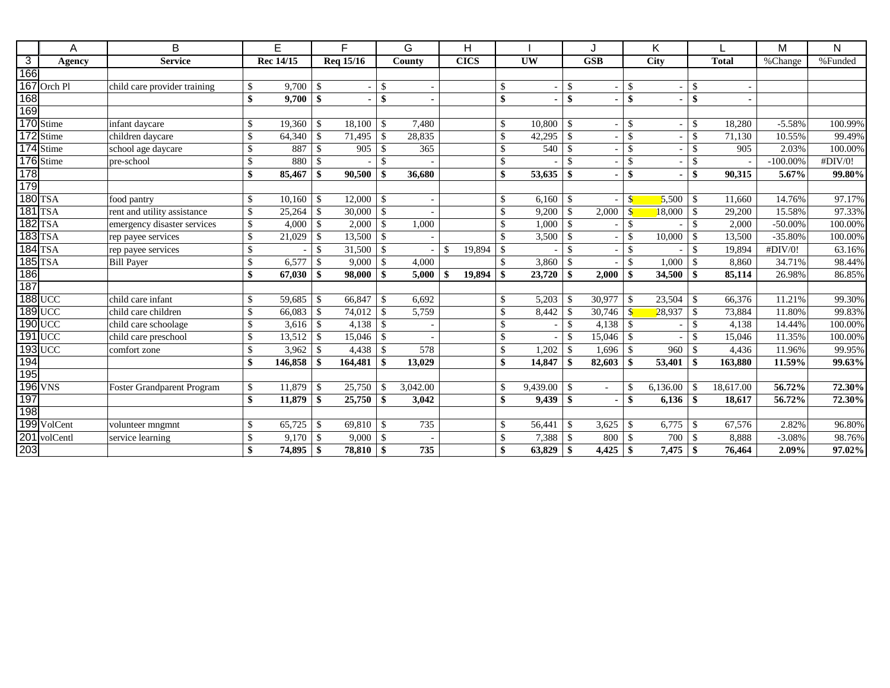|                | A              | B                                 |                                 | E         |                    | F.              |                    | G        |    | H           |               |           |               |            | Κ               |                          |               |              | M           | N       |
|----------------|----------------|-----------------------------------|---------------------------------|-----------|--------------------|-----------------|--------------------|----------|----|-------------|---------------|-----------|---------------|------------|-----------------|--------------------------|---------------|--------------|-------------|---------|
| $\overline{3}$ | Agency         | <b>Service</b>                    |                                 | Rec 14/15 |                    | Req 15/16       |                    | County   |    | <b>CICS</b> |               | <b>UW</b> |               | <b>GSB</b> |                 | <b>City</b>              |               | <b>Total</b> | %Change     | %Funded |
| 166            |                |                                   |                                 |           |                    |                 |                    |          |    |             |               |           |               |            |                 |                          |               |              |             |         |
|                | 167 Orch Pl    | child care provider training      | -S                              | 9,700     | -\$                |                 | <sup>\$</sup>      |          |    |             |               |           | -\$           |            | \$              |                          | -\$           |              |             |         |
| 168            |                |                                   | \$                              | 9,700     | -\$                |                 | \$                 |          |    |             | \$            |           | \$            |            | \$              |                          | \$            |              |             |         |
| 169            |                |                                   |                                 |           |                    |                 |                    |          |    |             |               |           |               |            |                 |                          |               |              |             |         |
|                | 170 Stime      | infant daycare                    | \$                              | 19,360    | $\mathcal{S}$      | 18,100          | <sup>\$</sup>      | 7.480    |    |             |               | 10.800    | -\$           |            | \$              |                          | $\mathcal{S}$ | 18,280       | $-5.58%$    | 100.99% |
|                | Stime          | children daycare                  | <sup>\$</sup>                   | 64,340    | -\$                | 71,495          | -\$                | 28,835   |    |             |               | 42,295    | $\mathcal{S}$ |            | \$              |                          | -\$           | 71,130       | 10.55%      | 99.49%  |
|                | 174 Stime      | school age daycare                | $\mathcal{S}$                   | 887       | $\mathcal{S}$      | 905             | -\$                | 365      |    |             | $\mathcal{S}$ | 540       | -\$           |            | \$              |                          | -\$           | 905          | 2.03%       | 100.00% |
|                | 176 Stime      | pre-school                        | <sup>\$</sup>                   | 880       | $\mathbf{\hat{S}}$ |                 | $\mathcal{S}$      |          |    |             |               |           | $\mathcal{S}$ |            | \$              | $\overline{\phantom{a}}$ | -\$           |              | $-100.00\%$ | #DIV/0! |
| 178            |                |                                   | \$                              | 85,467    | -\$                | 90,500          | \$                 | 36,680   |    |             |               | 53,635    | -\$           |            | $\overline{\$}$ |                          |               | 90,315       | 5.67%       | 99.80%  |
| 179            |                |                                   |                                 |           |                    |                 |                    |          |    |             |               |           |               |            |                 |                          |               |              |             |         |
|                | <b>180 TSA</b> | food pantry                       | \$                              | 10,160    | -\$                | 12,000          | $\mathbb{S}$       |          |    |             |               | 6,160     | -\$           |            | $\mathbf{\$}$   | 5,500                    | -\$           | 11,660       | 14.76%      | 97.17%  |
|                | $181$ TSA      | rent and utility assistance       | \$                              | 25,264    | $\mathbf{\hat{S}}$ | $30,000$ \ \ \$ |                    |          |    |             |               | 9,200     | -\$           | 2,000      | $\mathbf{S}$    | 18,000                   | $\mathcal{S}$ | 29,200       | 15.58%      | 97.33%  |
|                | <b>182 TSA</b> | emergency disaster services       | \$                              | 4,000     | $\mathbf{\hat{S}}$ | 2,000           | $\mathcal{S}$      | 1,000    |    |             |               | 1,000     | -\$           |            | \$              |                          | $\mathcal{S}$ | 2,000        | $-50.00\%$  | 100.00% |
|                | <b>183 TSA</b> | rep payee services                | <sup>\$</sup>                   | 21,029    | -\$                |                 |                    |          |    |             |               | 3,500     | -\$           |            | \$              | 10,000                   | -\$           | 13,500       | $-35.80%$   | 100.00% |
|                | 184 TSA        | rep payee services                | $\mathcal{S}$                   |           | -\$                | 31,500          | $\mathbf{\hat{S}}$ |          | \$ | 19,894      |               |           | $\mathcal{S}$ |            | $\mathcal{S}$   |                          | -\$           | 19,894       | #DIV/0!     | 63.16%  |
|                | $185$ TSA      | <b>Bill Payer</b>                 | \$                              | 6,577     | $\mathcal{S}$      | 9,000           | $\mathsf{I}$       | 4,000    |    |             |               | 3,860     | -\$           |            | \$              | 1,000                    | -\$           | 8,860        | 34.71%      | 98.44%  |
| 186            |                |                                   | \$                              | 67,030    |                    | 98,000          | \$                 | 5,000    |    | 19,894      |               | 23,720    | -\$           | 2,000      | \$              | 34,500                   |               | 85,114       | 26.98%      | 86.85%  |
| 187            |                |                                   |                                 |           |                    |                 |                    |          |    |             |               |           |               |            |                 |                          |               |              |             |         |
|                | <b>188 UCC</b> | child care infant                 | \$                              | 59,685    | -\$                | 66,847          | -\$                | 6,692    |    |             |               | 5,203     |               | 30,977     | $\mathbf S$     | 23,504                   | -S            | 66,376       | 11.21%      | 99.30%  |
|                | $189$ UCC      | child care children               | <sup>\$</sup>                   | 66,083    | $\mathbf{\hat{S}}$ |                 |                    | 5,759    |    |             |               | 8,442     | - \$          | 30,746     | $\mathbf{s}$    | 28,937                   | -\$           | 73,884       | 11.80%      | 99.83%  |
|                | $190$ UCC      | child care schoolage              | \$                              | 3,616     | $\mathbf{\hat{S}}$ | 4,138           | $\mathcal{S}$      |          |    |             |               |           | -\$           | 4,138      | $\mathcal{S}$   |                          | $\mathcal{S}$ | 4,138        | 14.44%      | 100.00% |
|                | $191$ UCC      | child care preschool              | \$                              | 13,512    | $\mathcal{S}$      |                 |                    |          |    |             |               |           | -\$           | 15,046     | $\mathcal{S}$   |                          | $\mathcal{S}$ | 15,046       | 11.35%      | 100.00% |
|                | <b>193 UCC</b> | comfort zone                      | \$                              | 3,962     | $\mathcal{S}$      | 4,438           | <sup>\$</sup>      | 578      |    |             |               | 1,202     | - \$          | 1,696      | $\mathcal{S}$   | 960                      |               | 4,436        | 11.96%      | 99.95%  |
| 194            |                |                                   | \$                              | 146,858   |                    | 164,481         | \$                 | 13,029   |    |             |               | 14,847    | -9            | 82,603     | \$              | 53,401                   |               | 163,880      | 11.59%      | 99.63%  |
| 195            |                |                                   |                                 |           |                    |                 |                    |          |    |             |               |           |               |            |                 |                          |               |              |             |         |
|                | <b>196 VNS</b> | <b>Foster Grandparent Program</b> | <sup>\$</sup>                   | 11.879    | $\mathbf{\hat{S}}$ | 25,750          | -\$                | 3.042.00 |    |             |               | 9,439.00  | - \$          | $\sim$     | \$              | 6,136.00                 | -9            | 18.617.00    | 56.72%      | 72.30%  |
| 197            |                |                                   | $\boldsymbol{\hat{\mathbf{s}}}$ | 11.879    | -\$                | 25,750          | -\$                | 3.042    |    |             | \$            | 9.439     | -\$           |            | \$              | 6,136                    | - \$          | 18.617       | 56.72%      | 72.30%  |
| 198            |                |                                   |                                 |           |                    |                 |                    |          |    |             |               |           |               |            |                 |                          |               |              |             |         |
|                | 199 VolCent    | volunteer mngmnt                  | \$                              | 65,725    | $\mathbf{\hat{S}}$ |                 |                    | 735      |    |             |               | 56,441    | -\$           | 3,625      | $\mathbf S$     | 6,775                    | -\$           | 67,576       | 2.82%       | 96.80%  |
| 201            | volCentl       | service learning                  | <sup>\$</sup>                   | 9,170     | -\$                | $9,000$   \$    |                    |          |    |             |               | 7,388     | -\$           | 800        | $\mathcal{S}$   | 700                      | $\mathcal{S}$ | 8,888        | $-3.08%$    | 98.76%  |
| 203            |                |                                   | \$                              | 74,895    | -\$                | 78,810          | \$                 | 735      |    |             |               | 63,829    | <b>S</b>      | 4,425      | -\$             | 7,475                    | - \$          | 76,464       | 2.09%       | 97.02%  |